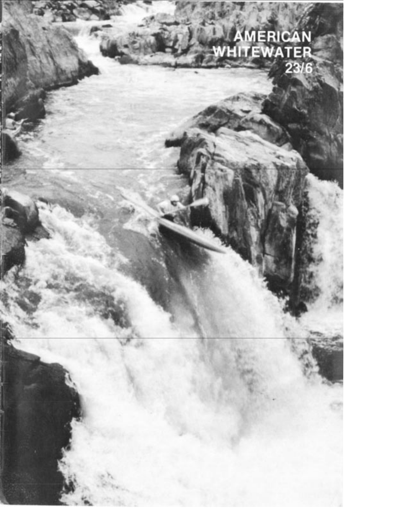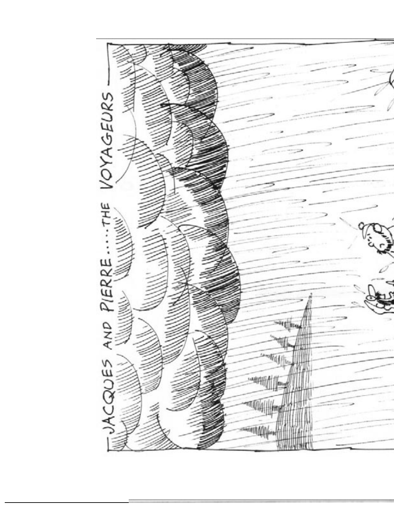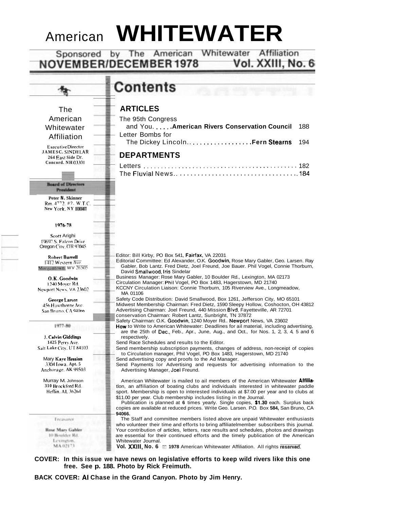#### **WHITEWATER** American The American Whitewater Affiliation Sponsored by Vol. XXIII. No. **NOVEMBER/DECEMBER 1978** Contents **ARTICLES** The American The 95th Congress and You. . . . . . American Rivers Conservation Council 188 Whitewater Letter Bombs for Affiliation The Dickey Lincoln..................Fern Stearns 194 ExecutiveDirector **JAMESC. SINDELAR DEPARTMENTS** 264 East Side Dr. Concord. NH 03301 **Board of Directors Preside** Peter N. Skinner Rm. 4772, #?. W.T.C. New York, NY HOUSE 1976-78 Scott Arighi 19697 S. Falcon Drive Oregon City. OR 97045 Editor: Bill Kirby, PO Box 541, Fairfax, VA 22031 **Robert Burrell** Editorial Committee: Ed Alexander, O.K. Goodwin, Rose Mary Gabler, Geo. Larsen. Ray 1412 Western Ave. Gabler, Bob Lantz. Fred Dietz, Joel Freund, Joe Bauer. Phil Vogel, Connie Thorburn, Morgantown: WV 26505 David Smallwood, Iris Sindelar ≣ Business Manager: Rose Mary Gabler, 10 Boulder Rd., Lexington, MA 02173 O.K. Goodwin Circulation Manager: Phil Vogel, PO Box 1483, Hagerstown, MD 21740 1240 Mover Rd. KCCNY Circulation Liaison: Connie Thorburn, 105 Riverview Ave., Longmeadow, Newport News, VA 23602 MA 01106 Safety Code Distribution: David Smallwood, Box 1261, Jefferson City, MO 65101 George Larsen Midwest Membership Chairman: Fred Dietz, 1590 Sleepy Hollow, Coshocton, OH 43812 456 Hawthorne Ave. San Bruno, CA 94066 Advertising Chairman: Joel Freund, 440 Mission Blvd, Fayetteville, AR 72701 conservation Chairman: Robert Lantz, Sunbright, TN 37872 Safety Chairman: O.K. Goodwin, 1240 Moyer Rd.. Newport News, VA 23602 1977-80 How to Write to American Whitewater: Deadlines for ail material, including advertising, are the 25th of Dec., Feb., Apr., June, Aug., and Oct., for Nos. 1, 2, 3, 4, 5 and 6 J. Calvin Giddings respectively. 1425 Perry Ave. Send Race Schedules and results to the Editor. Salt Lake City, UT 84103 Send membership subscription payments, changes of address, non-receipt of copies to Circulation manager, Phil Vogel, PO Box 1483, Hagerstown, MD 21740 Mary Kave Hession Send advertising copy and proofs to the Ad Manager. 3304 Iowa, Apt. 5 Send Payments lor Advertising and requests for advertising information to the Anchorage. AK 99503 Advertising Manager, Joel Freund. **Contract of the US** Murray M. Johnson American Whitewater is mailed to ail members of the American Whitewater Affilia-310 Brockford Rd. tlon, an affiliation of boating clubs and individuals interested in whitewater paddle Heflin, AL 36264 sport. Membership is open to interested individuals at \$7.00 per year and to clubs at **THEFFEREES** \$11.00 per year. Club membership includes listing in the Journal. Publication is planned at 6 times yearly. Single copies, \$1.30 each. Surplus back copies are available at reduced prices. Write Geo. Larsen. P.O. Box 584, San Bruno, CA 94066. The Staff and committee members listed above are unpaid Whitewater enthusiasts Treasurer who volunteer their time and efforts to bring affiliatelmember subscribers this journal. **Rose Mars Gabler** Your contribution of articles, letters, race results and schedules, photos and drawings 10 Boulder Rd. are essential for their continued efforts and the timely publication of the American Leximete Whitewater Journal. MA 02173 Vol. XXIII, No. 6 @ 1978 American Whitewater Affiliation. All rights reserved.

COVER: In this issue we have news on legislative efforts to keep wild rivers like this one free. See p. 188. Photo by Rick Freimuth.

BACK COVER: Al Chase in the Grand Canyon. Photo by Jim Henry.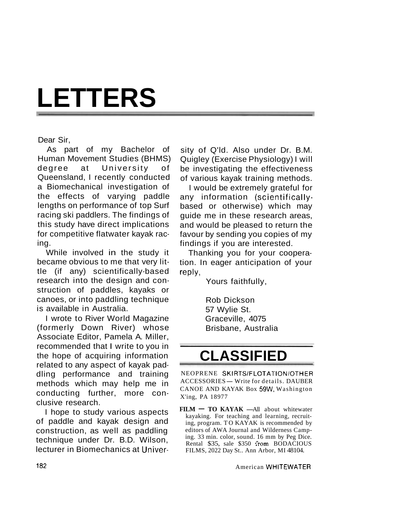## **LETTERS**

Dear Sir,

As part of my Bachelor of Human Movement Studies (BHMS) degree at University of Queensland, I recently conducted a Biomechanical investigation of the effects of varying paddle lengths on performance of top Surf racing ski paddlers. The findings of this study have direct implications for competitive flatwater kayak racing.

While involved in the study it became obvious to me that very little (if any) scientifically-based research into the design and construction of paddles, kayaks or canoes, or into paddling technique is available in Australia.

I wrote to River World Magazine (formerly Down River) whose Associate Editor, Pamela A. Miller, recommended that I write to you in the hope of acquiring information related to any aspect of kayak paddling performance and training methods which may help me in conducting further, more conclusive research.

I hope to study various aspects of paddle and kayak design and construction, as well as paddling technique under Dr. B.D. Wilson, lecturer in Biomechanics at University of Q'ld. Also under Dr. B.M. Quigley (Exercise Physiology) I will be investigating the effectiveness of various kayak training methods.

I would be extremely grateful for any information (scientificallybased or otherwise) which may guide me in these research areas, and would be pleased to return the favour by sending you copies of my findings if you are interested.

Thanking you for your cooperation. In eager anticipation of your reply,

Yours faithfully,

Rob Dickson 57 Wylie St. Graceville, 4075 Brisbane, Australia

### **CLASSIFIED**

NEOPRENE SKIRTSlFLOTA1'IONIOTHER ACCESSORIES - Write for details. DAUBER CANOE AND KAYAK Box 59W, Washington X'ing, PA 18977

**FILM - TO KAYAK** -All about whitewater kayaking. For teaching and learning, recruiting, program. TO KAYAK is recommended by editors of AWA Journal and Wilderness Camping. 33 min. color, sound. 16 mm by Peg Dice. Rental \$35, sale \$350 from BODACIOUS FILMS, 2022 Day St.. Ann Arbor, MI 48104.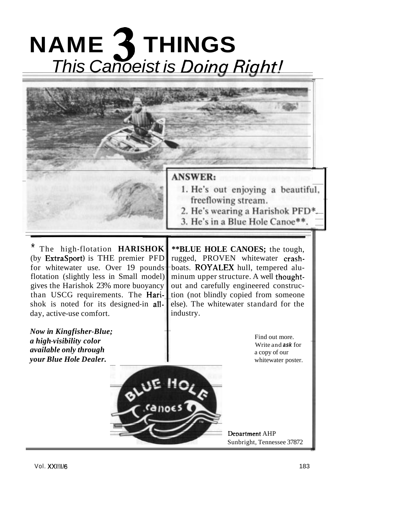### **NAME 3 THINGS**  This Canoeist is Doing Right!

#### **ANSWER:**

- 1. He's out enjoying a beautiful, freeflowing stream.
- 2. He's wearing a Harishok PFD\*
- 3. He's in a Blue Hole Canoe\*\*.

The high-flotation **HARISHOK** (by Extrasport) is THE premier PFD for whitewater use. Over 19 pounds flotation (slightly less in Small model) gives the Harishok 23% more buoyancy than USCG requirements. The Harishok is noted for its designed-in allday, active-use comfort.

*Now in Kingfisher-Blue; a high-visibility color available only through your Blue Hole Dealer.* 

**\*\*BLUE HOLE CANOES;** the tough, rugged, PROVEN whitewater crashboats. ROYALEX hull, tempered aluminum upper structure. A well thoughtout and carefully engineered construction (not blindly copied from someone else). The whitewater standard for the industry.

> Find out more. Write and **ask** for a copy of our whitewater poster.



Sunbright, Tennessee 37872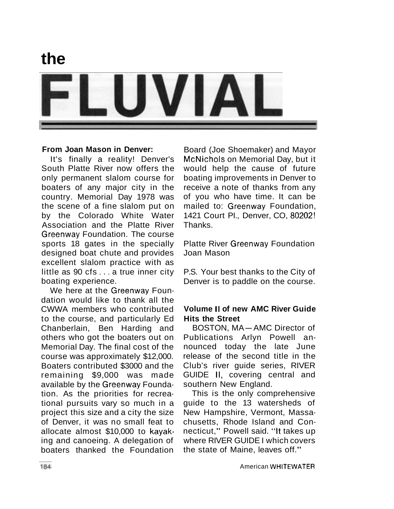### **the**



#### **From Joan Mason in Denver:**

It's finally a reality! Denver's South Platte River now offers the only permanent slalom course for boaters of any major city in the country. Memorial Day 1978 was the scene of a fine slalom put on by the Colorado White Water Association and the Platte River Greenway Foundation. The course sports 18 gates in the specially designed boat chute and provides excellent slalom practice with as little as 90 cfs . . . a true inner city boating experience.

We here at the Greenway Foundation would like to thank all the CWWA members who contributed to the course, and particularly Ed Chanberlain, Ben Harding and others who got the boaters out on Memorial Day. The final cost of the course was approximately \$12,000. Boaters contributed \$3000 and the remaining \$9,000 was made available by the Greenway Foundation. As the priorities for recreational pursuits vary so much in a project this size and a city the size of Denver, it was no small feat to allocate almost \$10,000 to kayaking and canoeing. A delegation of boaters thanked the Foundation

Board (Joe Shoemaker) and Mayor McNichols on Memorial Day, but it would help the cause of future boating improvements in Denver to receive a note of thanks from any of you who have time. It can be mailed to: Greenway Foundation, 1421 Court PI., Denver, CO, 80202! Thanks.

Platte River Greenway Foundation Joan Mason

P.S. Your best thanks to the City of Denver is to paddle on the course.

#### **Volume** II **of new AMC River Guide Hits the Street**

BOSTON, MA-AMC Director of Publications Arlyn Powell announced today the late June release of the second title in the Club's river guide series, RIVER GUIDE 11, covering central and southern New England.

This is the only comprehensive guide to the 13 watersheds of New Hampshire, Vermont, Massachusetts, Rhode Island and Connecticut," Powell said. "It takes up where RIVER GUIDE I which covers the state of Maine, leaves off."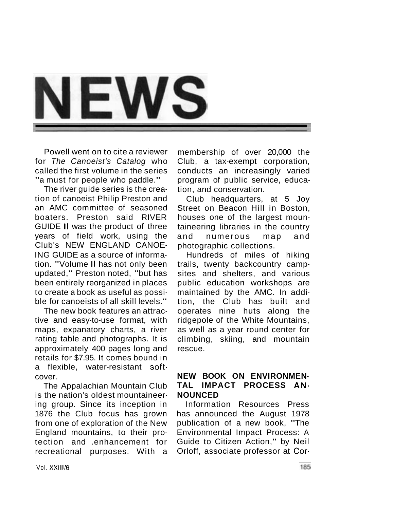

Powell went on to cite a reviewer for The Canoeist's Catalog who called the first volume in the series "a must for people who paddle."

The river guide series is the creation of canoeist Philip Preston and an AMC committee of seasoned boaters. Preston said RIVER GUIDE II was the product of three years of field work, using the Club's NEW ENGLAND CANOE-ING GUIDE as a source of information. "Volume II has not only been updated," Preston noted, "but has been entirely reorganized in places to create a book as useful as possible for canoeists of all skill levels."

The new book features an attractive and easy-to-use format, with maps, expanatory charts, a river rating table and photographs. It is approximately 400 pages long and retails for \$7.95. It comes bound in a flexible, water-resistant softcover.

The Appalachian Mountain Club is the nation's oldest mountaineering group. Since its inception in 1876 the Club focus has grown from one of exploration of the New England mountains, to their protection and .enhancement for recreational purposes. With a membership of over 20,000 the Club, a tax-exempt corporation, conducts an increasingly varied program of public service, education, and conservation.

Club headquarters, at 5 Joy Street on Beacon Hill in Boston, houses one of the largest mountaineering libraries in the country and numerous map and photographic collections.

Hundreds of miles of hiking trails, twenty backcountry campsites and shelters, and various public education workshops are maintained by the AMC. In addition, the Club has built and operates nine huts along the ridgepole of the White Mountains, as well as a year round center for climbing, skiing, and mountain rescue.

#### **NEW BOOK ON ENVIRONMEN-TAL IMPACT PROCESS AN. NOUNCED**

Information Resources Press has announced the August 1978 publication of a new book, "The Environmental Impact Process: A Guide to Citizen Action," by Neil Orloff, associate professor at Cor-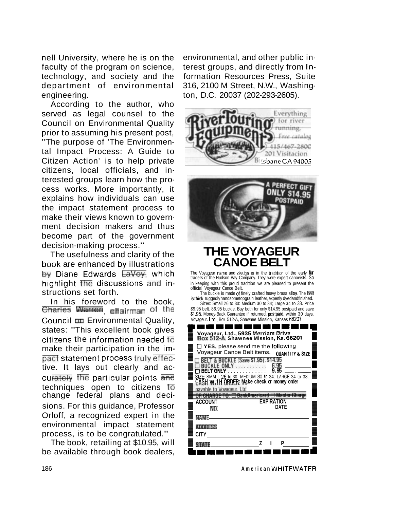nell University, where he is on the environmental, and other public infaculty of the program on science, terest groups, and directly from Intechnology, and society and the formation Resources Press, Suite department of environmental 316, 2100 M Street, N.W., Washingengineering. ton, D.C. 20037 (202-293-2605).

According to the author, who served as legal counsel to the Council on Environmental Quality prior to assuming his present post, "The purpose of 'The Environmental Impact Process: A Guide to Citizen Action' is to help private  $\bullet$  **is blue CA 94005** citizens, local officials, and interested groups learn how the process works. More importantly, it explains how individuals can use the impact statement process to make their views known to government decision makers and thus become part of the government decision-making process."

**book are enhanced by illustrations by Diane Edwards LaVoy, which** The Voyageur name and design **E** in the tradition of the early fur **furthering furthering furthering** in the tradition of the early furthering the strategists. So traders of the Hudson Bay Company. They were expert canoeists. So hight the discussions and in-<br>
official Voyageur Canoe Belt.<br> **Christian Political Canoe** Belt.

In his foreword to the book, **Charles Warren, Charlem Cof the S. S. 95 belt. 86.95 buckle. Buy both for only \$14.95 postpaid and save State I**<br>Council **and Environmental Quality** Woyageur. Ltd., Box 512-A, Shawnee Mission, Kansas 66201 Council **and Environmental Quality,** St.95. Money-Back Guarantee if returned, postpard, within 30 days.<br>
States: "This excellent book gives<br>
citizens the information needed to **I BOX 512-A, Shawnee Mission, Ks. 66201** states: "This excellent book gives COUTICIT OF ETIVITOTITIERITAL QUATITY,<br>
States: "This excellent book gives<br>
Citizens the information needed to<br>
The im- **I I YES**, please send me the following<br>
Voyageur Cance Belt items. QUANTITY & SIZE pact statement process truly effective and actional process in the intervent process in the intervent of the intervention of the intervention of the intervention of the intervention of the intervention of the intervention make their participation in the im-<br>
pact statement process  $\overline{\text{truly}}}$  effec-<br>  $\overline{\text{BELT & BUCKLE}}$  (Save \$1.95). \$14.95<br>
Curately the particular points and<br>  $\overline{\text{CPELL}}$   $\overline{\text{CPELL}}$  (Save \$1.95). \$14.95<br>  $\overline{\text{CPELL}}$  (Sav tive. It lays out clearly and ac-<br>curately the particular points and change federal plans and decitechniques open to citizens to<br>change federal plans and deci-<br>sions. For this guidance, Professor<br>Orloff, a recognized expert in the Change federal plans and decidence of the Change of the Change federal plans and decidence of the COUNT EXPIRATION<br>Sions. For this guidance, Professor<br>Orloff, a recognized expert in the NAME sions. For this guidance, Professor<br>Orloff, a recognized expert in the<br>environmental impact statement<br>process is to be congratulated."





**official Canoel Structions set forth.**<br>Structions alloy. The buckle is made of finely crafted heavy brass alloy. The **belt**<br>is thick, ruggedly handsometopgrain leather, expertly dyedandfinished.

Sizes: Small 26 to 30: Medium 30 to 34; Large 34 to 38. Price \$9.95 belt. 86.95 buckle. Buy both for only \$14.95 postpaid and save

| states: "This excellent book gives<br>citizens the information needed to<br>make their participation in the im-<br>pact statement process truly effec-<br>tive. It lays out clearly and ac-<br>curately the particular points and<br>techniques open to citizens to | Voyageur, Ltd., 5935 Merriam Drive<br>Box 512-A, Shawnee Mission, Ks. 66201<br>$\Box$ YES, please send me the following<br>Voyageur Canoe Belt items. QUANTITY & SIZE<br><b>BELT &amp; BUCKLE (Save \$1.95). \$14.95</b><br>6.95<br>9.95<br><b>TONIY</b><br>SIZE: SMALL 26 to 30: MEDIUM 30 to 34: LARGE 34 to 38.<br>CASH WITH ORDER: Make check or money order |
|---------------------------------------------------------------------------------------------------------------------------------------------------------------------------------------------------------------------------------------------------------------------|------------------------------------------------------------------------------------------------------------------------------------------------------------------------------------------------------------------------------------------------------------------------------------------------------------------------------------------------------------------|
| change federal plans and deci-<br>sions. For this guidance, Professor<br>Orloff, a recognized expert in the                                                                                                                                                         | <b>EXPIRATION</b><br><b>ACCOUNT</b><br><b>DATE</b><br>NO.                                                                                                                                                                                                                                                                                                        |
| environmental impact statement<br>process, is to be congratulated."<br>The book, retailing at \$10.95, will                                                                                                                                                         | ADDRESS<br>CITY<br>Z<br>P<br>an                                                                                                                                                                                                                                                                                                                                  |
| be available through book dealers,                                                                                                                                                                                                                                  |                                                                                                                                                                                                                                                                                                                                                                  |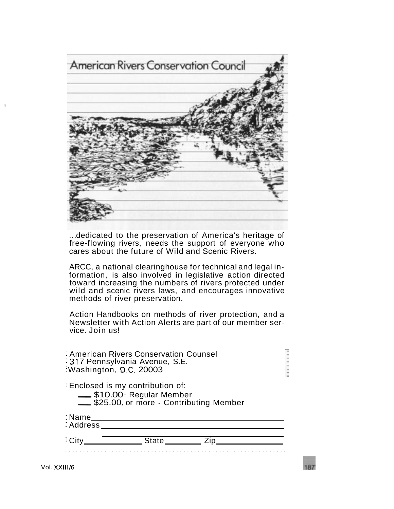

... dedicated to the preservation of America's heritage of free-flowing rivers, needs the support of everyone who cares about the future of Wild and Scenic Rivers.

ARCC, a national clearinghouse for technical and legal information, is also involved in legislative action directed toward increasing the numbers of rivers protected under wild and scenic rivers laws, and encourages innovative methods of river preservation.

Action Handbooks on methods of river protection, and a Newsletter with Action Alerts are part of our member service. Join us!

: American Rivers Conservation Counsel **131** 7 Pennsylvania Avenue, S.E. :Washington, D.C. 20003 1 Enclosed is my contribution of: S10.00 - Regular Member **- \$25.00, or more - Contributing Member<br>ame** : Name : Address : City State Zip ..............................................................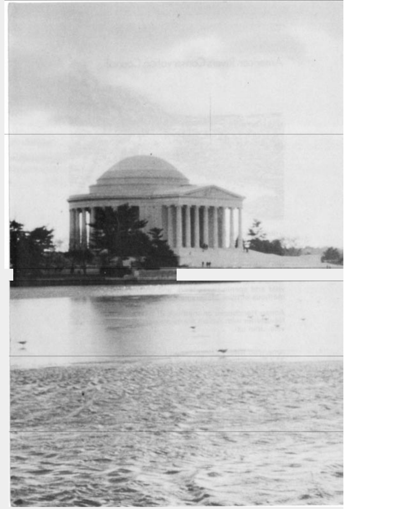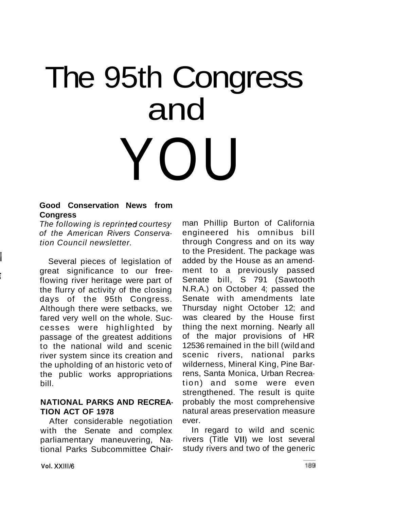# The 95th Congress and YOU

#### **Good Conservation News from Congress**

The following is reprinted courtesy of the American Rivers Conservation Council newsletter.

Several pieces of legislation of great significance to our freeflowing river heritage were part of the flurry of activity of the closing days of the 95th Congress. Although there were setbacks, we fared very well on the whole. Successes were highlighted by passage of the greatest additions to the national wild and scenic river system since its creation and the upholding of an historic veto of the public works appropriations bill.

#### **NATIONAL PARKS AND RECREA-TION ACT OF 1978**

After considerable negotiation with the Senate and complex parliamentary maneuvering, National Parks Subcommittee Chairman Phillip Burton of California engineered his omnibus bill through Congress and on its way to the President. The package was added by the House as an amendment to a previously passed Senate bill, S 791 (Sawtooth N.R.A.) on October 4; passed the Senate with amendments late Thursday night October 12; and was cleared by the House first thing the next morning. Nearly all of the major provisions of HR 12536 remained in the bill (wild and scenic rivers, national parks wilderness, Mineral King, Pine Barrens, Santa Monica, Urban Recreation) and some were even strengthened. The result is quite probably the most comprehensive natural areas preservation measure ever.

In regard to wild and scenic rivers (Title VII) we lost several study rivers and two of the generic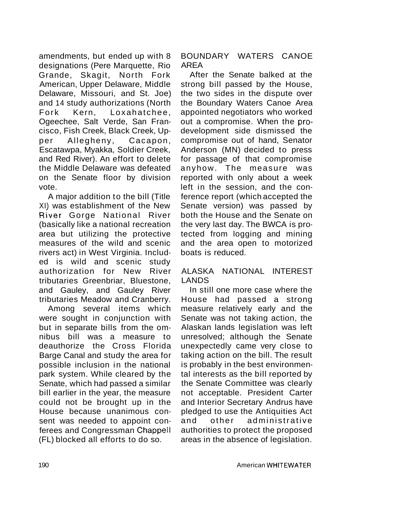amendments, but ended up with 8 designations (Pere Marquette, Rio Grande, Skagit, North Fork American, Upper Delaware, Middle Delaware, Missouri, and St. Joe) and 14 study authorizations (North Fork Kern, Loxahatchee, Ogeechee, Salt Verde, San Francisco, Fish Creek, Black Creek, Upper Allegheny, Cacapon, Escatawpa, Myakka, Soldier Creek, and Red River). An effort to delete the Middle Delaware was defeated on the Senate floor by division vote.

A major addition to the bill (Title XI) was establishment of the New River Gorge National River (basically like a national recreation area but utilizing the protective measures of the wild and scenic rivers act) in West Virginia. Included is wild and scenic study authorization for New River tributaries Greenbriar, Bluestone, and Gauley, and Gauley River tributaries Meadow and Cranberry.

Among several items which were sought in conjunction with but in separate bills from the omnibus bill was a measure to deauthorize the Cross Florida Barge Canal and study the area for possible inclusion in the national park system. While cleared by the Senate, which had passed a similar bill earlier in the year, the measure could not be brought up in the House because unanimous consent was needed to appoint conferees and Congressman Chappell (FL) blocked all efforts to do so.

#### BOUNDARY WATERS CANOE AREA

After the Senate balked at the strong bill passed by the House, the two sides in the dispute over the Boundary Waters Canoe Area appointed negotiators who worked out a compromise. When the prodevelopment side dismissed the compromise out of hand, Senator Anderson (MN) decided to press for passage of that compromise anyhow. The measure was reported with only about a week left in the session, and the conference report (which accepted the Senate version) was passed by both the House and the Senate on the very last day. The BWCA is protected from logging and mining and the area open to motorized boats is reduced.

#### ALASKA NATIONAL INTEREST LANDS

In still one more case where the House had passed a strong measure relatively early and the Senate was not taking action, the Alaskan lands legislation was left unresolved; although the Senate unexpectedly came very close to taking action on the bill. The result is probably in the best environmental interests as the bill reported by the Senate Committee was clearly not acceptable. President Carter and Interior Secretary Andrus have pledged to use the Antiquities Act and other administrative authorities to protect the proposed areas in the absence of legislation.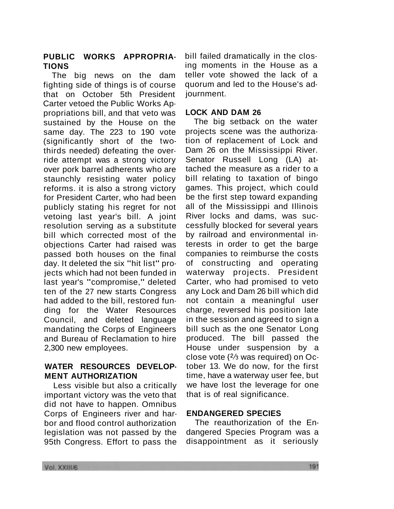#### **PUBLIC WORKS APPROPRIA-TIONS**

The big news on the dam fighting side of things is of course that on October 5th President Carter vetoed the Public Works Appropriations bill, and that veto was sustained by the House on the same day. The 223 to 190 vote (significantly short of the twothirds needed) defeating the override attempt was a strong victory over pork barrel adherents who are staunchly resisting water policy reforms. it is also a strong victory for President Carter, who had been publicly stating his regret for not vetoing last year's bill. A joint resolution serving as a substitute bill which corrected most of the objections Carter had raised was passed both houses on the final day. It deleted the six "hit list" projects which had not been funded in last year's "compromise," deleted ten of the 27 new starts Congress had added to the bill, restored funding for the Water Resources Council, and deleted language mandating the Corps of Engineers and Bureau of Reclamation to hire 2,300 new employees.

#### **WATER RESOURCES DEVELOP-MENT AUTHORIZATION**

Less visible but also a critically important victory was the veto that did not have to happen. Omnibus Corps of Engineers river and harbor and flood control authorization legislation was not passed by the 95th Congress. Effort to pass the

bill failed dramatically in the closing moments in the House as a teller vote showed the lack of a quorum and led to the House's adjournment.

#### **LOCK AND DAM 26**

The big setback on the water projects scene was the authorization of replacement of Lock and Dam 26 on the Mississippi River. Senator Russell Long (LA) attached the measure as a rider to a bill relating to taxation of bingo games. This project, which could be the first step toward expanding all of the Mississippi and Illinois River locks and dams, was successfully blocked for several years by railroad and environmental interests in order to get the barge companies to reimburse the costs of constructing and operating waterway projects. President Carter, who had promised to veto any Lock and Dam 26 bill which did not contain a meaningful user charge, reversed his position late in the session and agreed to sign a bill such as the one Senator Long produced. The bill passed the House under suspension by a close vote **(\*/3** was required) on October 13. We do now, for the first time, have a waterway user fee, but we have lost the leverage for one that is of real significance.

#### **ENDANGERED SPECIES**

The reauthorization of the Endangered Species Program was a disappointment as it seriously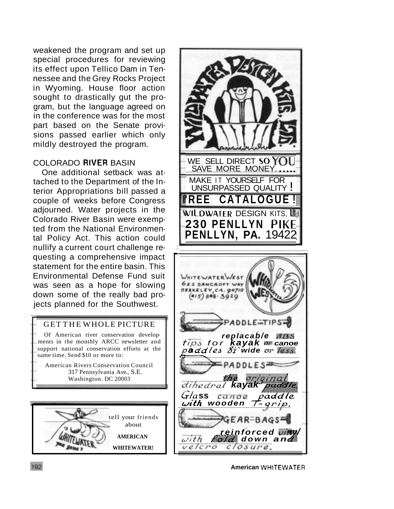weakened the program and set up special procedures for reviewing its effect upon Tellico Dam in Tennessee and the Grey Rocks Project in Wyoming. House floor action sought to drastically gut the program, but the language agreed on in the conference was for the most part based on the Senate provisions passed earlier which only mildly destroyed the program.

#### COLORADO RIVER BASIN

One additional setback was attached to the Department of the Interior Appropriations bill passed a couple of weeks before Congress adjourned. Water projects in the Colorado River Basin were exempted from the National Environmental Policy Act. This action could nullify a current court challenge requesting a comprehensive impact statement for the entire basin. This Environmental Defense Fund suit was seen as a hope for slowing down some of the really bad projects planned for the Southwest.

#### GET THE WHOLE PICTURE

Of American river conservation developments in the monthly ARCC newsletter and support national conservation efforts at the same time. Send \$10 or more to:

American Rivers Conservation Council 317 Pennsylvania Ave., S.E. Washington. DC 20003





**American WHITEWATER**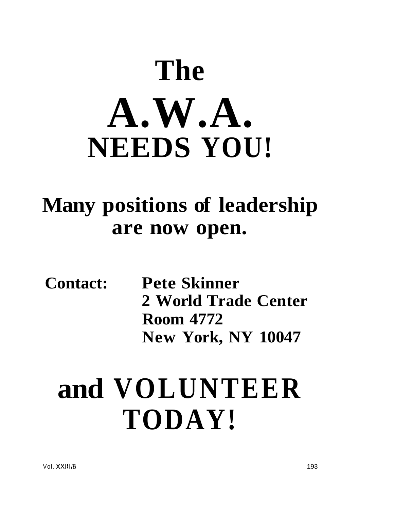# **The A.W.A. NEEDS YOU!**

### **Many positions of leadership are now open.**

**Contact: Pete Skinner 2 World Trade Center Room 4772 New York, NY 10047** 

### **and VOLUNTEER TODAY!**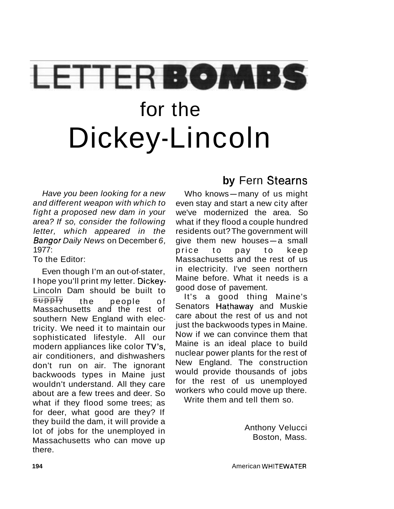

### for the Dickey-Lincoln

Have you been looking for a new and different weapon with which to fight a proposed new dam in your area? If so, consider the following letter, which appeared in the Bangor Daily News on December 6, 1977:

To the Editor:

Even though I'm an out-of-stater, I hope you'll print my letter. Dickey-Lincoln Dam should be built to supply the people of Massachusetts and the rest of southern New England with electricity. We need it to maintain our sophisticated lifestyle. All our modern appliances like color TV's, air conditioners, and dishwashers don't run on air. The ignorant backwoods types in Maine just wouldn't understand. All they care about are a few trees and deer. So what if they flood some trees; as for deer, what good are they? If they build the dam, it will provide a lot of jobs for the unemployed in Massachusetts who can move up there.

#### **by** Fern Stearns

Who knows-many of us might even stay and start a new city after we've modernized the area. So what if they flood a couple hundred residents out? The government will give them new houses—a small<br>price to pay to keep pay Massachusetts and the rest of us in electricity. I've seen northern Maine before. What it needs is a good dose of pavement.

It's a good thing Maine's Senators Hathaway and Muskie care about the rest of us and not just the backwoods types in Maine. Now if we can convince them that Maine is an ideal place to build nuclear power plants for the rest of New England. The construction would provide thousands of jobs for the rest of us unemployed workers who could move up there.

Write them and tell them so.

Anthony Velucci Boston, Mass.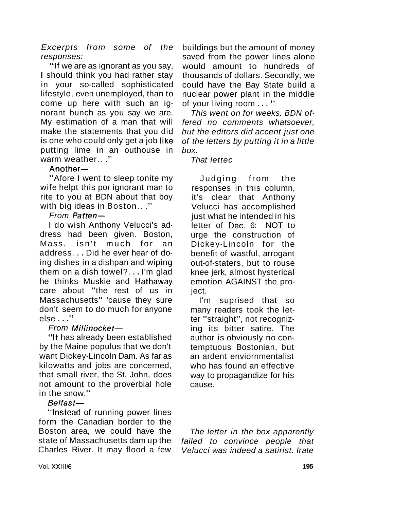Excerpts from some of the responses:

"If we are as ignorant as you say, I should think you had rather stay in your so-called sophisticated lifestyle, even unemployed, than to come up here with such an ignorant bunch as you say we are. My estimation of a man that will make the statements that you did is one who could only get a job like putting lime in an outhouse in warm weather...<sup>"</sup>

#### Another-

"Afore I went to sleep tonite my wife helpt this por ignorant man to rite to you at BDN about that boy with big ideas in Boston..."

#### From Patten-

I do wish Anthony Velucci's address had been given. Boston, Mass. isn't much for an address. . . Did he ever hear of doing dishes in a dishpan and wiping them on a dish towel?. . . I'm glad he thinks Muskie and Hathaway care about "the rest of us in Massachusetts" 'cause they sure don't seem to do much for anyone else . . . **1,** 

#### From Millinocket-

"It has already been established by the Maine populus that we don't want Dickey-Lincoln Dam. As far as kilowatts and jobs are concerned, that small river, the St. John, does not amount to the proverbial hole in the snow."

#### Belfast-

"Instead of running power lines form the Canadian border to the Boston area, we could have the state of Massachusetts dam up the Charles River. It may flood a few

buildings but the amount of money saved from the power lines alone would amount to hundreds of thousands of dollars. Secondly, we could have the Bay State build a nuclear power plant in the middle of your living room . . . "

This went on for weeks. BDN offered no comments whatsoever, but the editors did accent just one of the letters by putting it in a little box.

#### That lettec

Judging from the responses in this column, it's clear that Anthony Velucci has accomplished just what he intended in his letter of Dec. 6: NOT to urge the construction of Dickey-Lincoln for the benefit of wastful, arrogant out-of-staters, but to rouse knee jerk, almost hysterical emotion AGAINST the proiect.

I'm suprised that so many readers took the letter "straight", not recognizing its bitter satire. The author is obviously no contemptuous Bostonian, but an ardent enviornmentalist who has found an effective way to propagandize for his cause.

The letter in the box apparently failed to convince people that Velucci was indeed a satirist. Irate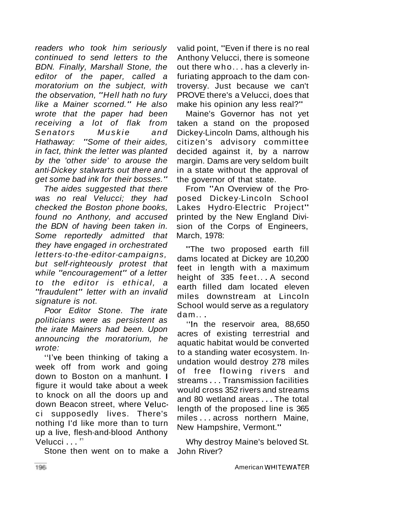readers who took him seriously continued to send letters to the BDN. Finally, Marshall Stone, the editor of the paper, called a moratorium on the subject, with the observation, "Hell hath no fury like a Mainer scorned." He also wrote that the paper had been receiving a lot of flak from Senators Muskie and Hathaway: "Some of their aides, in fact, think the letter was planted by the 'other side' to arouse the anti-Dickey stalwarts out there and get some bad ink for their bosses."

The aides suggested that there was no real Velucci; they had checked the Boston phone books, found no Anthony, and accused the BDN of having been taken in. Some reportedly admitted that they have engaged in orchestrated letters-to-the-editor-campaigns, but self-righteously protest that while "encouragement" of a letter to the editor is ethical, a "fraudulent" letter with an invalid signature is not.

Poor Editor Stone. The irate politicians were as persistent as the irate Mainers had been. Upon announcing the moratorium, he wrote:

"I've been thinking of taking a week off from work and going down to Boston on a manhunt. I figure it would take about a week to knock on all the doors up and down Beacon street, where Velucci supposedly lives. There's nothing I'd like more than to turn up a live, flesh-and-blood Anthony Velucci . . . <sup>"</sup>

Stone then went on to make a

valid point, "Even if there is no real Anthony Velucci, there is someone out there who.. . has a cleverly infuriating approach to the dam controversy. Just because we can't PROVE there's a Velucci, does that make his opinion any less real?"

Maine's Governor has not yet taken a stand on the proposed Dickey-Lincoln Dams, although his citizen's advisory committee decided against it, by a narrow margin. Dams are very seldom built in a state without the approval of the governor of that state.

From "An Overview of the Proposed Dickey-Lincoln School Lakes Hydro-Electric Project" printed by the New England Division of the Corps of Engineers, March, 1978:

"The two proposed earth fill dams located at Dickey are 10,200 feet in length with a maximum height of 335 feet.. . A second earth filled dam located eleven miles downstream at Lincoln School would serve as a regulatory

dam.. . "In the reservoir area, 88,650 acres of existing terrestrial and aquatic habitat would be converted to a standing water ecosystem. Inundation would destroy 278 miles of free flowing rivers and streams . . . Transmission facilities would cross 352 rivers and streams and 80 wetland areas . . . The total length of the proposed line is 365 miles . . . across northern Maine, New Hampshire, Vermont."

Why destroy Maine's beloved St. John River?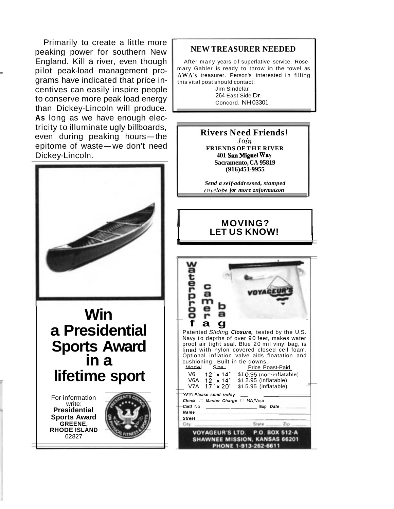Primarily to create a little more peaking power for southern New England. Kill a river, even though pilot peak-load management programs have indicated that price incentives can easily inspire people to conserve more peak load energy than Dickey-Lincoln will produce. **As** long as we have enough electricity to illuminate ugly billboards, As long as we have enough electricity to illuminate ugly billboards,<br>even during peaking hours—the menty to inuminate ugly billocards,<br>even during peaking hours—the<br>epitome of waste—we don't need Dickey-Lincoln.



**Win a Presidential Sports Award in a lifetime sport** 

For information write: **Presidential Sports Award GREENE, RHODE ISLAND**  02827



# -- **NEW TREASURER NEEDED**

After many years of superlative service. Rosemary Gabler is ready to throw in the towel as AWA's treasurer. Person's interested in filling this vital post should contact:

Jim Sindelar 264 East Side Dr. Concord. NH 03301

#### **Rivers Need Friends** ! *Join* **FRIENDS OF THE RIVER 401 San Migel Way Sacramento, CA 95819 (916) 451-9955**

*Send a self-addressed, stamped enz'elope for more znformatzon* 

#### I **MOVING? <sup>I</sup>LET US KNOW!** <sup>I</sup>